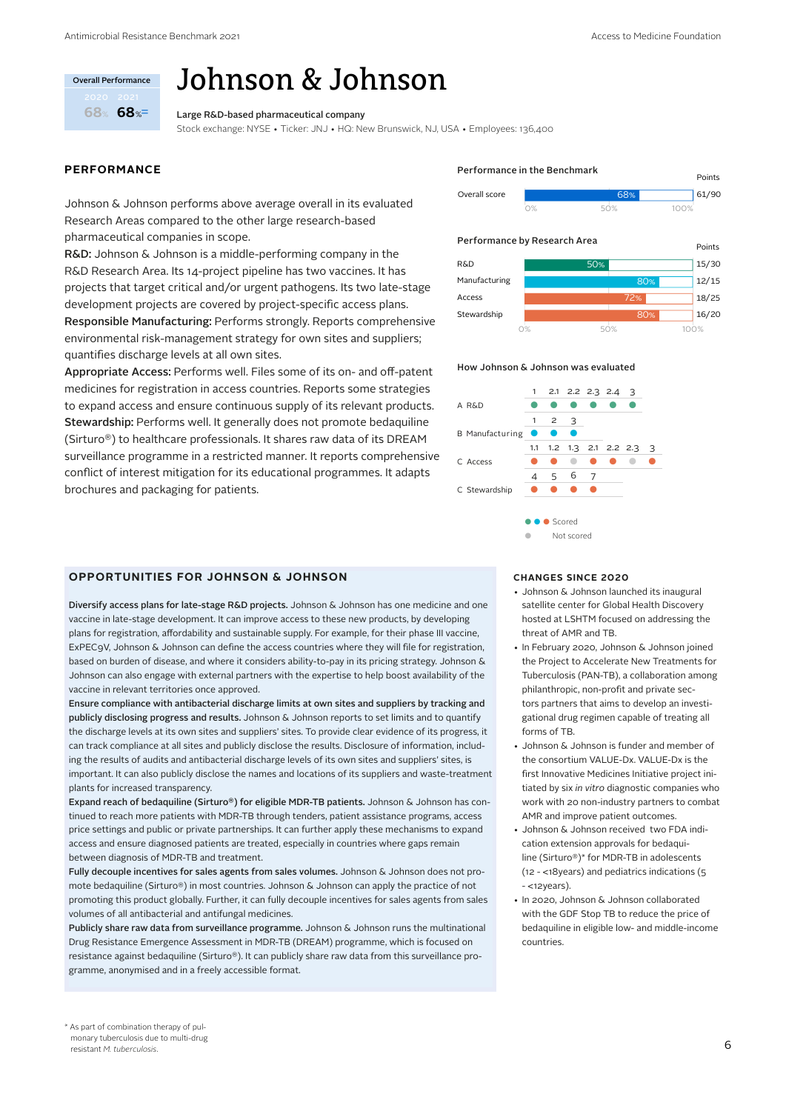# $%$  68 $\%$ **68 68** .<br>Overall Performance

# Johnson & Johnson

Large R&D-based pharmaceutical company

Stock exchange: NYSE • Ticker: JNJ • HQ: New Brunswick, NJ, USA • Employees: 136,400

# **PERFORMANCE**

Johnson & Johnson performs above average overall in its evaluated Research Areas compared to the other large research-based pharmaceutical companies in scope.

R&D: Johnson & Johnson is a middle-performing company in the R&D Research Area. Its 14-project pipeline has two vaccines. It has projects that target critical and/or urgent pathogens. Its two late-stage development projects are covered by project-specific access plans. Responsible Manufacturing: Performs strongly. Reports comprehensive environmental risk-management strategy for own sites and suppliers; quantifies discharge levels at all own sites.

Appropriate Access: Performs well. Files some of its on- and off-patent medicines for registration in access countries. Reports some strategies to expand access and ensure continuous supply of its relevant products. Stewardship: Performs well. It generally does not promote bedaquiline (Sirturo®) to healthcare professionals. It shares raw data of its DREAM surveillance programme in a restricted manner. It reports comprehensive conflict of interest mitigation for its educational programmes. It adapts brochures and packaging for patients.

# **OPPORTUNITIES FOR JOHNSON & JOHNSON**

Diversify access plans for late-stage R&D projects. Johnson & Johnson has one medicine and one vaccine in late-stage development. It can improve access to these new products, by developing plans for registration, affordability and sustainable supply. For example, for their phase III vaccine, ExPEC9V, Johnson & Johnson can define the access countries where they will file for registration, based on burden of disease, and where it considers ability-to-pay in its pricing strategy. Johnson & Johnson can also engage with external partners with the expertise to help boost availability of the vaccine in relevant territories once approved.

Ensure compliance with antibacterial discharge limits at own sites and suppliers by tracking and publicly disclosing progress and results. Johnson & Johnson reports to set limits and to quantify the discharge levels at its own sites and suppliers' sites. To provide clear evidence of its progress, it can track compliance at all sites and publicly disclose the results. Disclosure of information, including the results of audits and antibacterial discharge levels of its own sites and suppliers' sites, is important. It can also publicly disclose the names and locations of its suppliers and waste-treatment plants for increased transparency.

Expand reach of bedaquiline (Sirturo®) for eligible MDR-TB patients. Johnson & Johnson has continued to reach more patients with MDR-TB through tenders, patient assistance programs, access price settings and public or private partnerships. It can further apply these mechanisms to expand access and ensure diagnosed patients are treated, especially in countries where gaps remain between diagnosis of MDR-TB and treatment.

Fully decouple incentives for sales agents from sales volumes. Johnson & Johnson does not promote bedaquiline (Sirturo®) in most countries. Johnson & Johnson can apply the practice of not promoting this product globally. Further, it can fully decouple incentives for sales agents from sales volumes of all antibacterial and antifungal medicines.

Publicly share raw data from surveillance programme. Johnson & Johnson runs the multinational Drug Resistance Emergence Assessment in MDR-TB (DREAM) programme, which is focused on resistance against bedaquiline (Sirturo®). It can publicly share raw data from this surveillance programme, anonymised and in a freely accessible format.

#### Overall score / Points 61/90 Performance in the Benchmark

0% 50% 100%

# Performance by Research Area



#### How Johnson & Johnson was evaluated



# **CHANGES SINCE 2020**

- Johnson & Johnson launched its inaugural satellite center for Global Health Discovery hosted at LSHTM focused on addressing the threat of AMR and TB.
- In February 2020, Johnson & Johnson joined the Project to Accelerate New Treatments for Tuberculosis (PAN-TB), a collaboration among philanthropic, non-profit and private sectors partners that aims to develop an investigational drug regimen capable of treating all forms of TB.
- Johnson & Johnson is funder and member of the consortium VALUE-Dx. VALUE-Dx is the first Innovative Medicines Initiative project initiated by six *in vitro* diagnostic companies who work with 20 non-industry partners to combat AMR and improve patient outcomes.
- Johnson & Johnson received two FDA indication extension approvals for bedaquiline (Sirturo®)\* for MDR-TB in adolescents (12 - <18years) and pediatrics indications (5 - <12years).
- In 2020, Johnson & Johnson collaborated with the GDF Stop TB to reduce the price of bedaquiline in eligible low- and middle-income countries.

<sup>\*</sup> As part of combination therapy of pulmonary tuberculosis due to multi-drug resistant *M. tuberculosis*.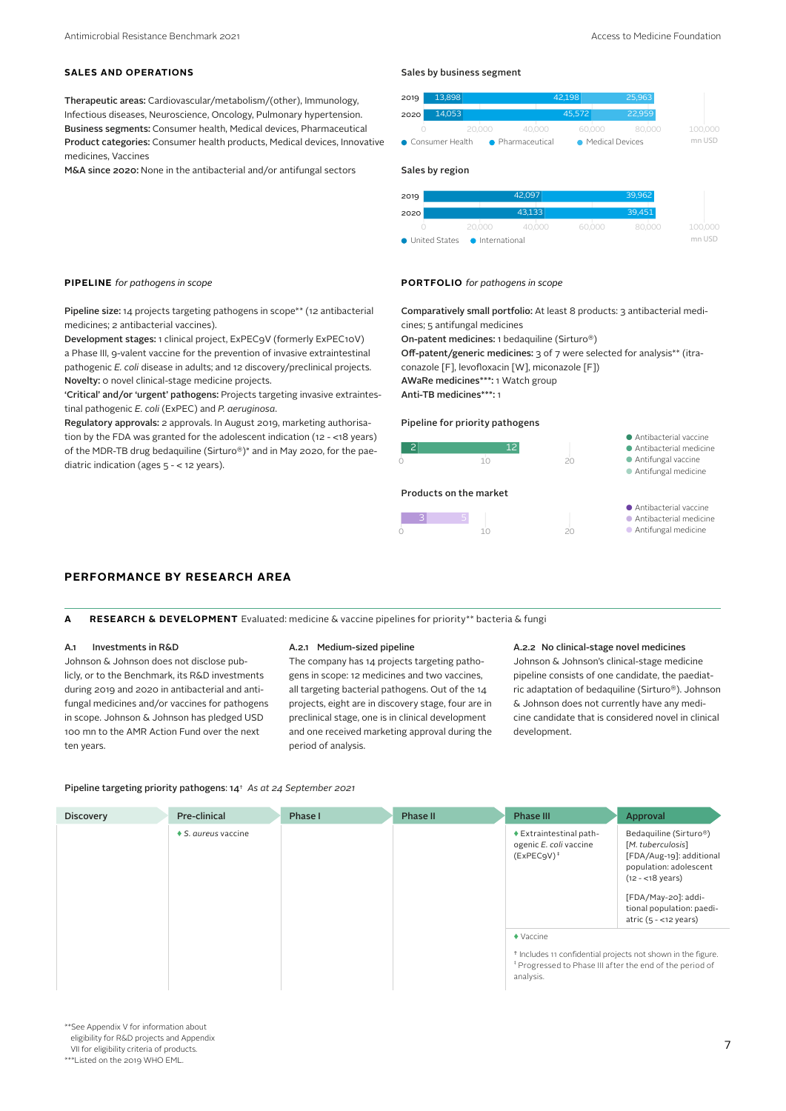# **SALES AND OPERATIONS**

Therapeutic areas: Cardiovascular/metabolism/(other), Immunology, Infectious diseases, Neuroscience, Oncology, Pulmonary hypertension. Business segments: Consumer health, Medical devices, Pharmaceutical Product categories: Consumer health products, Medical devices, Innovative medicines, Vaccines

M&A since 2020: None in the antibacterial and/or antifungal sectors

Pipeline size: 14 projects targeting pathogens in scope\*\* (12 antibacterial medicines; 2 antibacterial vaccines).

Development stages: 1 clinical project, ExPEC9V (formerly ExPEC10V) a Phase III, 9-valent vaccine for the prevention of invasive extraintestinal pathogenic *E. coli* disease in adults; and 12 discovery/preclinical projects. Novelty: 0 novel clinical-stage medicine projects.

'Critical' and/or 'urgent' pathogens: Projects targeting invasive extraintestinal pathogenic *E. coli* (ExPEC) and *P. aeruginosa*.

Regulatory approvals: 2 approvals. In August 2019, marketing authorisation by the FDA was granted for the adolescent indication (12 - <18 years) of the MDR-TB drug bedaquiline (Sirturo®)\* and in May 2020, for the paediatric indication (ages 5 - < 12 years).

# Sales by business segment

| 2019              | 13.898 |        |                                               | 42.198 | 25,963 |         |
|-------------------|--------|--------|-----------------------------------------------|--------|--------|---------|
| 2020              | 14.053 |        |                                               | 45.572 | 22,959 |         |
|                   |        | 20,000 | 40.000                                        | 60,000 | 80.000 | 100,000 |
| • Consumer Health |        |        | • Medical Devices<br>$\bullet$ Pharmaceutical |        |        | mn USD  |

# Sales by region

| 2019                            |        | 42.097 |        | 39.962 |         |
|---------------------------------|--------|--------|--------|--------|---------|
| 2020                            |        | 43.133 |        | 39.451 |         |
|                                 | 20,000 | 40,000 | 60,000 | 80.000 | 100,000 |
| ● United States ● International |        | mn USD |        |        |         |

# **PIPELINE** *for pathogens in scope* **PORTFOLIO** *for pathogens in scope*

Comparatively small portfolio: At least 8 products: 3 antibacterial medicines; 5 antifungal medicines

On-patent medicines: 1 bedaquiline (Sirturo®)

Off-patent/generic medicines: 3 of 7 were selected for analysis\*\* (itraconazole [F], levofloxacin [W], miconazole [F])

AWaRe medicines\*\*\*: 1 Watch group

Anti-TB medicines\*\*\*: 1

# Pipeline for priority pathogens

# 0 10 20 Products on the market

2 12



● Antibacterial vaccine ● Antibacterial medicine ● Antifungal medicine

● Antibacterial vaccine ● Antibacterial medicine ● Antifungal vaccine ● Antifungal medicine

# **PERFORMANCE BY RESEARCH AREA**

#### **A RESEARCH & DEVELOPMENT** Evaluated: medicine & vaccine pipelines for priority\*\* bacteria & fungi

# A.1 Investments in R&D

Johnson & Johnson does not disclose publicly, or to the Benchmark, its R&D investments during 2019 and 2020 in antibacterial and antifungal medicines and/or vaccines for pathogens in scope. Johnson & Johnson has pledged USD 100 mn to the AMR Action Fund over the next ten years.

#### A.2.1 Medium-sized pipeline

The company has 14 projects targeting pathogens in scope: 12 medicines and two vaccines, all targeting bacterial pathogens. Out of the 14 projects, eight are in discovery stage, four are in preclinical stage, one is in clinical development and one received marketing approval during the period of analysis.

# A.2.2 No clinical-stage novel medicines

Johnson & Johnson's clinical-stage medicine pipeline consists of one candidate, the paediatric adaptation of bedaquiline (Sirturo®). Johnson & Johnson does not currently have any medicine candidate that is considered novel in clinical development.

# Pipeline targeting priority pathogens: 14† *As at 24 September 2021*

| <b>Discovery</b> | Pre-clinical                | Phase I | Phase II | Phase III                                                                                                                                                                              | Approval                                                                                                                                                                                                     |
|------------------|-----------------------------|---------|----------|----------------------------------------------------------------------------------------------------------------------------------------------------------------------------------------|--------------------------------------------------------------------------------------------------------------------------------------------------------------------------------------------------------------|
|                  | $\bullet$ S. aureus vaccine |         |          | $\triangle$ Extraintestinal path-<br>ogenic E. coli vaccine<br>$(ExPEC9V)$ <sup>#</sup>                                                                                                | Bedaquiline (Sirturo®)<br>[M. tuberculosis]<br>[FDA/Aug-19]: additional<br>population: adolescent<br>$(12 - 18 \text{ years})$<br>[FDA/May-20]: addi-<br>tional population: paedi-<br>atric $(5 - 12$ years) |
|                  |                             |         |          | $\blacklozenge$ Vaccine<br><sup>†</sup> Includes 11 confidential projects not shown in the figure.<br><sup>#</sup> Progressed to Phase III after the end of the period of<br>analysis. |                                                                                                                                                                                                              |

# 7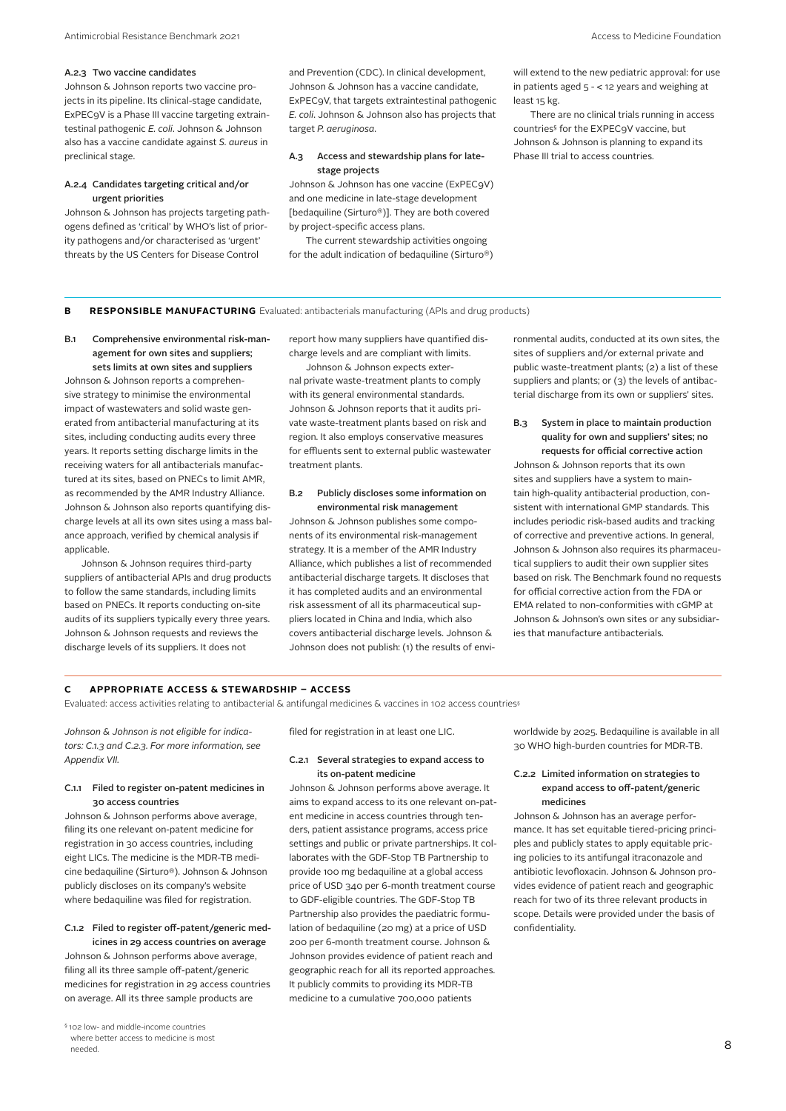# A.2.3 Two vaccine candidates

Johnson & Johnson reports two vaccine projects in its pipeline. Its clinical-stage candidate, ExPEC9V is a Phase III vaccine targeting extraintestinal pathogenic *E. coli*. Johnson & Johnson also has a vaccine candidate against *S. aureus* in preclinical stage.

# A.2.4 Candidates targeting critical and/or urgent priorities

Johnson & Johnson has projects targeting pathogens defined as 'critical' by WHO's list of priority pathogens and/or characterised as 'urgent' threats by the US Centers for Disease Control

and Prevention (CDC). In clinical development, Johnson & Johnson has a vaccine candidate, ExPEC9V, that targets extraintestinal pathogenic *E. coli*. Johnson & Johnson also has projects that target *P. aeruginosa*.

# A.3 Access and stewardship plans for latestage projects

Johnson & Johnson has one vaccine (ExPEC9V) and one medicine in late-stage development [bedaquiline (Sirturo®)]. They are both covered by project-specific access plans.

The current stewardship activities ongoing for the adult indication of bedaquiline (Sirturo®) will extend to the new pediatric approval: for use in patients aged 5 - < 12 years and weighing at least 15 kg.

There are no clinical trials running in access countries§ for the EXPEC9V vaccine, but Johnson & Johnson is planning to expand its Phase III trial to access countries.

# **B RESPONSIBLE MANUFACTURING** Evaluated: antibacterials manufacturing (APIs and drug products)

B.1 Comprehensive environmental risk-management for own sites and suppliers; sets limits at own sites and suppliers

Johnson & Johnson reports a comprehensive strategy to minimise the environmental impact of wastewaters and solid waste generated from antibacterial manufacturing at its sites, including conducting audits every three years. It reports setting discharge limits in the receiving waters for all antibacterials manufactured at its sites, based on PNECs to limit AMR, as recommended by the AMR Industry Alliance. Johnson & Johnson also reports quantifying discharge levels at all its own sites using a mass balance approach, verified by chemical analysis if applicable.

Johnson & Johnson requires third-party suppliers of antibacterial APIs and drug products to follow the same standards, including limits based on PNECs. It reports conducting on-site audits of its suppliers typically every three years. Johnson & Johnson requests and reviews the discharge levels of its suppliers. It does not

report how many suppliers have quantified discharge levels and are compliant with limits.

Johnson & Johnson expects external private waste-treatment plants to comply with its general environmental standards. Johnson & Johnson reports that it audits private waste-treatment plants based on risk and region. It also employs conservative measures for effluents sent to external public wastewater treatment plants.

# B.2 Publicly discloses some information on environmental risk management

Johnson & Johnson publishes some components of its environmental risk-management strategy. It is a member of the AMR Industry Alliance, which publishes a list of recommended antibacterial discharge targets. It discloses that it has completed audits and an environmental risk assessment of all its pharmaceutical suppliers located in China and India, which also covers antibacterial discharge levels. Johnson & Johnson does not publish: (1) the results of environmental audits, conducted at its own sites, the sites of suppliers and/or external private and public waste-treatment plants; (2) a list of these suppliers and plants; or (3) the levels of antibacterial discharge from its own or suppliers' sites.

# B.3 System in place to maintain production quality for own and suppliers' sites; no requests for official corrective action

Johnson & Johnson reports that its own sites and suppliers have a system to maintain high-quality antibacterial production, consistent with international GMP standards. This includes periodic risk-based audits and tracking of corrective and preventive actions. In general, Johnson & Johnson also requires its pharmaceutical suppliers to audit their own supplier sites based on risk. The Benchmark found no requests for official corrective action from the FDA or EMA related to non-conformities with cGMP at Johnson & Johnson's own sites or any subsidiaries that manufacture antibacterials.

# **C APPROPRIATE ACCESS & STEWARDSHIP – ACCESS**

Evaluated: access activities relating to antibacterial & antifungal medicines & vaccines in 102 access countries§

*Johnson & Johnson is not eligible for indicators: C.1.3 and C.2.3. For more information, see Appendix VII.*

# C.1.1 Filed to register on-patent medicines in 30 access countries

Johnson & Johnson performs above average, filing its one relevant on-patent medicine for registration in 30 access countries, including eight LICs. The medicine is the MDR-TB medicine bedaquiline (Sirturo®). Johnson & Johnson publicly discloses on its company's website where bedaquiline was filed for registration.

# C.1.2 Filed to register off-patent/generic medicines in 29 access countries on average

Johnson & Johnson performs above average, filing all its three sample off-patent/generic medicines for registration in 29 access countries on average. All its three sample products are

filed for registration in at least one LIC.

# C.2.1 Several strategies to expand access to its on-patent medicine

Johnson & Johnson performs above average. It aims to expand access to its one relevant on-patent medicine in access countries through tenders, patient assistance programs, access price settings and public or private partnerships. It collaborates with the GDF-Stop TB Partnership to provide 100 mg bedaquiline at a global access price of USD 340 per 6-month treatment course to GDF-eligible countries. The GDF-Stop TB Partnership also provides the paediatric formulation of bedaquiline (20 mg) at a price of USD 200 per 6-month treatment course. Johnson & Johnson provides evidence of patient reach and geographic reach for all its reported approaches. It publicly commits to providing its MDR-TB medicine to a cumulative 700,000 patients

worldwide by 2025. Bedaquiline is available in all 30 WHO high-burden countries for MDR-TB.

# C.2.2 Limited information on strategies to expand access to off-patent/generic medicines

Johnson & Johnson has an average performance. It has set equitable tiered-pricing principles and publicly states to apply equitable pricing policies to its antifungal itraconazole and antibiotic levofloxacin. Johnson & Johnson provides evidence of patient reach and geographic reach for two of its three relevant products in scope. Details were provided under the basis of confidentiality.

<sup>§ 102</sup> low- and middle-income countries where better access to medicine is most needed.